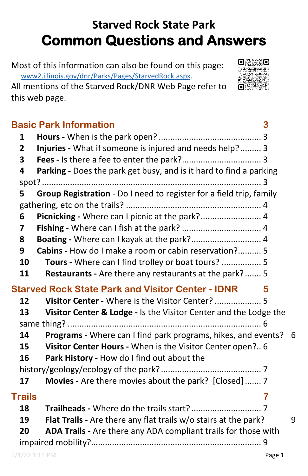# **Starved Rock State Park Common Questions and Answers**

Most of this information can also be found on this page: [www2.illinois.gov/dnr/Parks/Pages/StarvedRock.aspx.](https://www2.illinois.gov/dnr/Parks/Pages/StarvedRock.aspx)

All mentions of the Starved Rock/DNR Web Page refer to this web page.



|               | <b>Basic Park Information</b><br>3                                  |   |  |
|---------------|---------------------------------------------------------------------|---|--|
| 1             |                                                                     |   |  |
| $\mathbf{2}$  | Injuries - What if someone is injured and needs help? 3             |   |  |
| 3             |                                                                     |   |  |
| 4             | Parking - Does the park get busy, and is it hard to find a parking  |   |  |
|               |                                                                     |   |  |
| 5             | Group Registration - Do I need to register for a field trip, family |   |  |
|               |                                                                     |   |  |
| 6             | Picnicking - Where can I picnic at the park? 4                      |   |  |
| 7             |                                                                     |   |  |
| 8             | Boating - Where can I kayak at the park? 4                          |   |  |
| 9             | Cabins - How do I make a room or cabin reservation? 5               |   |  |
| 10            | Tours - Where can I find trolley or boat tours?  5                  |   |  |
| 11            | <b>Restaurants</b> - Are there any restaurants at the park? 5       |   |  |
|               | <b>Starved Rock State Park and Visitor Center - IDNR</b><br>5       |   |  |
| 12            | Visitor Center - Where is the Visitor Center?  5                    |   |  |
| 13            | Visitor Center & Lodge - Is the Visitor Center and the Lodge the    |   |  |
|               |                                                                     |   |  |
| 14            | Programs - Where can I find park programs, hikes, and events? 6     |   |  |
| 15            | Visitor Center Hours - When is the Visitor Center open? 6           |   |  |
| 16            | Park History - How do I find out about the                          |   |  |
|               |                                                                     |   |  |
| 17            | Movies - Are there movies about the park? [Closed]  7               |   |  |
| <b>Trails</b> | 7                                                                   |   |  |
| 18            |                                                                     |   |  |
| 19            | Flat Trails - Are there any flat trails w/o stairs at the park?     | 9 |  |
| 20            | ADA Trails - Are there any ADA compliant trails for those with      |   |  |
|               |                                                                     |   |  |
|               | $5/1/22$ 1:15 PM<br>Page 1                                          |   |  |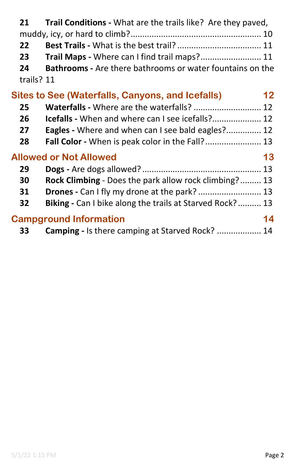| 21<br>22<br>23<br>24<br>trails? 11                          | <b>Trail Conditions</b> - What are the trails like? Are they paved,<br>Trail Maps - Where can I find trail maps? 11<br><b>Bathrooms</b> - Are there bathrooms or water fountains on the |  |  |  |
|-------------------------------------------------------------|-----------------------------------------------------------------------------------------------------------------------------------------------------------------------------------------|--|--|--|
| Sites to See (Waterfalls, Canyons, and Icefalls)<br>$12 \,$ |                                                                                                                                                                                         |  |  |  |
| 25                                                          | Waterfalls - Where are the waterfalls?  12                                                                                                                                              |  |  |  |
| 26                                                          | <b>Icefalls</b> - When and where can I see icefalls? 12                                                                                                                                 |  |  |  |
| 27                                                          | <b>Eagles</b> - Where and when can I see bald eagles? 12                                                                                                                                |  |  |  |
| 28                                                          | Fall Color - When is peak color in the Fall? 13                                                                                                                                         |  |  |  |
| <b>Allowed or Not Allowed</b><br>13                         |                                                                                                                                                                                         |  |  |  |
| 29                                                          |                                                                                                                                                                                         |  |  |  |
| 30                                                          | Rock Climbing - Does the park allow rock climbing? 13                                                                                                                                   |  |  |  |
| 31                                                          | Drones - Can I fly my drone at the park?  13                                                                                                                                            |  |  |  |
| 32                                                          | Biking - Can I bike along the trails at Starved Rock? 13                                                                                                                                |  |  |  |
| <b>Campground Information</b><br>14                         |                                                                                                                                                                                         |  |  |  |

| 33 | <b>Camping - Is there camping at Starved Rock?</b> 14 |  |
|----|-------------------------------------------------------|--|
|----|-------------------------------------------------------|--|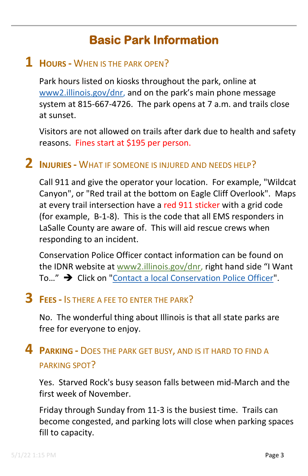# **Basic Park Information**

#### <span id="page-2-1"></span><span id="page-2-0"></span>**1 HOURS -** WHEN IS THE PARK OPEN?

Park hours listed on kiosks throughout the park, online at [www2.illinois.gov/dnr,](https://www2.illinois.gov/dnr) and on the park's main phone message system at 815-667-4726. The park opens at 7 a.m. and trails close at sunset.

Visitors are not allowed on trails after dark due to health and safety reasons. Fines start at \$195 per person.

#### <span id="page-2-2"></span>**2 INJURIES -** WHAT IF SOMEONE IS INJURED AND NEEDS HELP?

Call 911 and give the operator your location. For example, "Wildcat Canyon", or "Red trail at the bottom on Eagle Cliff Overlook". Maps at every trail intersection have a red 911 sticker with a grid code (for example, B-1-8). This is the code that all EMS responders in LaSalle County are aware of. This will aid rescue crews when responding to an incident.

Conservation Police Officer contact information can be found on the IDNR website at [www2.illinois.gov/dnr,](https://www2.illinois.gov/dnr) right hand side "I Want To..." → Click on ["Contact a local Conservation Police Officer"](https://www2.illinois.gov/dnr/LawEnforcement/Documents/DistrictCPOPhonesAndEmails.pdf).

## <span id="page-2-3"></span>**3 FEES -** IS THERE A FEE TO ENTER THE PARK?

No. The wonderful thing about Illinois is that all state parks are free for everyone to enjoy.

#### <span id="page-2-4"></span>**4 PARKING -** DOES THE PARK GET BUSY, AND IS IT HARD TO FIND A PARKING SPOT?

Yes. Starved Rock's busy season falls between mid-March and the first week of November.

Friday through Sunday from 11-3 is the busiest time. Trails can become congested, and parking lots will close when parking spaces fill to capacity.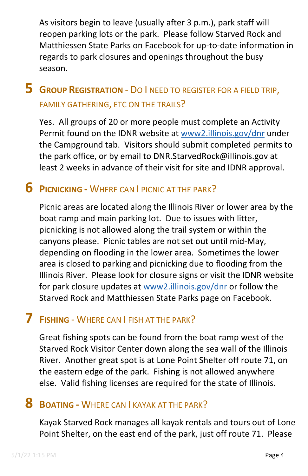As visitors begin to leave (usually after 3 p.m.), park staff will reopen parking lots or the park. Please follow Starved Rock and Matthiessen State Parks on Facebook for up-to-date information in regards to park closures and openings throughout the busy season.

## <span id="page-3-0"></span>**5 GROUP REGISTRATION** - DO I NEED TO REGISTER FOR A FIELD TRIP, FAMILY GATHERING, ETC ON THE TRAILS?

Yes. All groups of 20 or more people must complete an Activity Permit found on the IDNR website at [www2.illinois.gov/dnr](https://www2.illinois.gov/dnr) under the Campground tab. Visitors should submit completed permits to the park office, or by email to DNR.StarvedRock@illinois.gov at least 2 weeks in advance of their visit for site and IDNR approval.

#### <span id="page-3-1"></span>**6 PICNICKING -** WHERE CAN I PICNIC AT THE PARK?

Picnic areas are located along the Illinois River or lower area by the boat ramp and main parking lot. Due to issues with litter, picnicking is not allowed along the trail system or within the canyons please. Picnic tables are not set out until mid-May, depending on flooding in the lower area. Sometimes the lower area is closed to parking and picnicking due to flooding from the Illinois River. Please look for closure signs or visit the IDNR website for park closure updates at [www2.illinois.gov/dnr](https://www2.illinois.gov/dnr) or follow the Starved Rock and Matthiessen State Parks page on Facebook.

#### <span id="page-3-2"></span>**7 FISHING** - WHERE CAN I FISH AT THE PARK?

Great fishing spots can be found from the boat ramp west of the Starved Rock Visitor Center down along the sea wall of the Illinois River. Another great spot is at Lone Point Shelter off route 71, on the eastern edge of the park. Fishing is not allowed anywhere else. Valid fishing licenses are required for the state of Illinois.

#### <span id="page-3-3"></span>**8 BOATING -** WHERE CAN I KAYAK AT THE PARK?

Kayak Starved Rock manages all kayak rentals and tours out of Lone Point Shelter, on the east end of the park, just off route 71. Please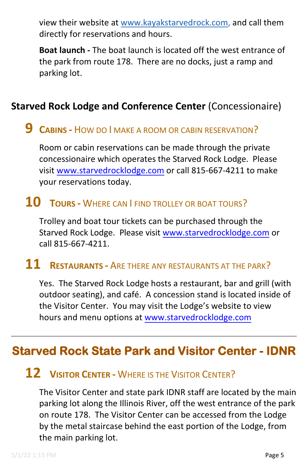view their website at [www.kayakstarvedrock.com,](http://www.kayakstarvedrock.com/) and call them directly for reservations and hours.

**Boat launch -** The boat launch is located off the west entrance of the park from route 178. There are no docks, just a ramp and parking lot.

#### <span id="page-4-0"></span>**Starved Rock Lodge and Conference Center** (Concessionaire)

#### **9 CABINS -** HOW DO I MAKE A ROOM OR CABIN RESERVATION?

Room or cabin reservations can be made through the private concessionaire which operates the Starved Rock Lodge. Please visit [www.starvedrocklodg](http://www.starvedrocklodge.org/)e.com or call 815-667-4211 to make your reservations today.

#### <span id="page-4-1"></span>**10 TOURS -** WHERE CAN I FIND TROLLEY OR BOAT TOURS?

Trolley and boat tour tickets can be purchased through the Starved Rock Lodge. Please visit [www.starvedrocklodge.](http://www.starvedrocklodge.org/)com or call 815-667-4211.

### <span id="page-4-2"></span>**11 RESTAURANTS -** ARE THERE ANY RESTAURANTS AT THE PARK?

Yes. The Starved Rock Lodge hosts a restaurant, bar and grill (with outdoor seating), and café. A concession stand is located inside of the Visitor Center. You may visit the Lodge's website to view hours and menu opt[ions at www.starvedrocklodg](http://www.starvedrocklodge.org/)e.com

## <span id="page-4-4"></span><span id="page-4-3"></span>**Starved Rock State Park and Visitor Center - IDNR**

#### **12 VISITOR CENTER -** WHERE IS THE VISITOR CENTER?

The Visitor Center and state park IDNR staff are located by the main parking lot along the Illinois River, off the west entrance of the park on route 178. The Visitor Center can be accessed from the Lodge by the metal staircase behind the east portion of the Lodge, from the main parking lot.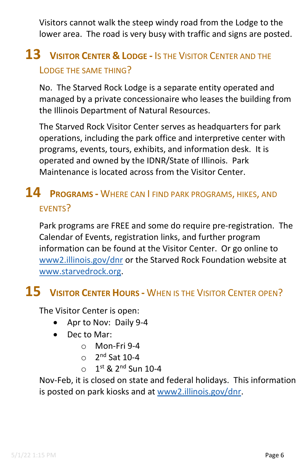Visitors cannot walk the steep windy road from the Lodge to the lower area. The road is very busy with traffic and signs are posted.

## <span id="page-5-0"></span>**13 VISITOR CENTER & LODGE -** IS THE VISITOR CENTER AND THE LODGE THE SAME THING?

No. The Starved Rock Lodge is a separate entity operated and managed by a private concessionaire who leases the building from the Illinois Department of Natural Resources.

The Starved Rock Visitor Center serves as headquarters for park operations, including the park office and interpretive center with programs, events, tours, exhibits, and information desk. It is operated and owned by the IDNR/State of Illinois. Park Maintenance is located across from the Visitor Center.

## <span id="page-5-1"></span>**14 PROGRAMS -** WHERE CAN I FIND PARK PROGRAMS, HIKES, AND EVENTS?

Park programs are FREE and some do require pre-registration. The Calendar of Events, registration links, and further program information can be found at the Visitor Center. Or go online to [www2.illinois.gov/dnr](http://www2.illinois.gov/dnr) or the Starved Rock Foundation website at [www.starvedrock.org.](http://www.starvedrock.org/)

## <span id="page-5-2"></span>**15 VISITOR CENTER HOURS -** WHEN IS THE VISITOR CENTER OPEN?

The Visitor Center is open:

- Apr to Nov: Daily 9-4
- Dec to Mar:
	- o Mon-Fri 9-4
	- $\circ$  2<sup>nd</sup> Sat 10-4
	- $\circ$  1st & 2<sup>nd</sup> Sun 10-4

Nov-Feb, it is closed on state and federal holidays. This information is posted on park kiosks and at [www2.illinois.gov/dnr.](https://www2.illinois.gov/dnr)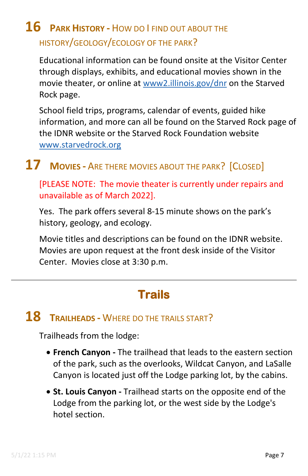# <span id="page-6-0"></span>**16 PARK HISTORY -** HOW DO I FIND OUT ABOUT THE HISTORY/GEOLOGY/ECOLOGY OF THE PARK?

Educational information can be found onsite at the Visitor Center through displays, exhibits, and educational movies shown in the movie theater, or online at [www2.illinois.gov/dnr](https://www2.illinois.gov/dnr) on the Starved Rock page.

School field trips, programs, calendar of events, guided hike information, and more can all be found on the Starved Rock page of the IDNR website or the Starved Rock Foundation website [www.starvedrock.org](http://www.starvedrock.org/) 

# <span id="page-6-1"></span>**17 MOVIES -** ARE THERE MOVIES ABOUT THE PARK? [CLOSED]

[PLEASE NOTE: The movie theater is currently under repairs and unavailable as of March 2022].

Yes. The park offers several 8-15 minute shows on the park's history, geology, and ecology.

Movie titles and descriptions can be found on the IDNR website. Movies are upon request at the front desk inside of the Visitor Center. Movies close at 3:30 p.m.

# **Trails**

## <span id="page-6-3"></span><span id="page-6-2"></span>**18 TRAILHEADS -** WHERE DO THE TRAILS START?

Trailheads from the lodge:

- **French Canyon** The trailhead that leads to the eastern section of the park, such as the overlooks, Wildcat Canyon, and LaSalle Canyon is located just off the Lodge parking lot, by the cabins.
- **St. Louis Canyon** Trailhead starts on the opposite end of the Lodge from the parking lot, or the west side by the Lodge's hotel section.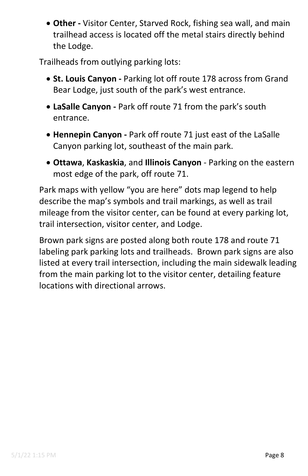• **Other -** Visitor Center, Starved Rock, fishing sea wall, and main trailhead access is located off the metal stairs directly behind the Lodge.

Trailheads from outlying parking lots:

- **St. Louis Canyon -** Parking lot off route 178 across from Grand Bear Lodge, just south of the park's west entrance.
- **LaSalle Canyon -** Park off route 71 from the park's south entrance.
- **Hennepin Canyon -** Park off route 71 just east of the LaSalle Canyon parking lot, southeast of the main park.
- **Ottawa**, **Kaskaskia**, and **Illinois Canyon** Parking on the eastern most edge of the park, off route 71.

Park maps with yellow "you are here" dots map legend to help describe the map's symbols and trail markings, as well as trail mileage from the visitor center, can be found at every parking lot, trail intersection, visitor center, and Lodge.

Brown park signs are posted along both route 178 and route 71 labeling park parking lots and trailheads. Brown park signs are also listed at every trail intersection, including the main sidewalk leading from the main parking lot to the visitor center, detailing feature locations with directional arrows.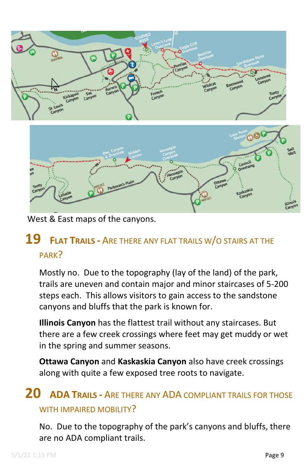



<span id="page-8-0"></span>West & East maps of the canyons.

## **19 FLAT TRAILS -** ARE THERE ANY FLAT TRAILS W/O STAIRS AT THE PARK?

Mostly no. Due to the topography (lay of the land) of the park, trails are uneven and contain major and minor staircases of 5-200 steps each. This allows visitors to gain access to the sandstone canyons and bluffs that the park is known for.

**Illinois Canyon** has the flattest trail without any staircases. But there are a few creek crossings where feet may get muddy or wet in the spring and summer seasons.

**Ottawa Canyon** and **Kaskaskia Canyon** also have creek crossings along with quite a few exposed tree roots to navigate.

#### <span id="page-8-1"></span>**20 ADA TRAILS -** ARE THERE ANY ADA COMPLIANT TRAILS FOR THOSE WITH IMPAIRED MOBILITY?

No. Due to the topography of the park's canyons and bluffs, there are no ADA compliant trails.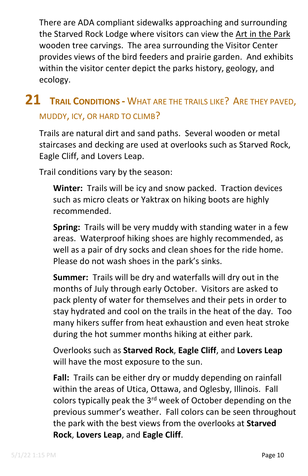There are ADA compliant sidewalks approaching and surrounding the Starved Rock Lodge where visitors can view the Art in the Park wooden tree carvings. The area surrounding the Visitor Center provides views of the bird feeders and prairie garden. And exhibits within the visitor center depict the parks history, geology, and ecology.

## <span id="page-9-0"></span>**21 TRAIL CONDITIONS -** WHAT ARE THE TRAILS LIKE? ARE THEY PAVED, MUDDY, ICY, OR HARD TO CLIMB?

Trails are natural dirt and sand paths. Several wooden or metal staircases and decking are used at overlooks such as Starved Rock, Eagle Cliff, and Lovers Leap.

Trail conditions vary by the season:

**Winter:** Trails will be icy and snow packed. Traction devices such as micro cleats or Yaktrax on hiking boots are highly recommended.

**Spring:** Trails will be very muddy with standing water in a few areas. Waterproof hiking shoes are highly recommended, as well as a pair of dry socks and clean shoes for the ride home. Please do not wash shoes in the park's sinks.

**Summer:** Trails will be dry and waterfalls will dry out in the months of July through early October. Visitors are asked to pack plenty of water for themselves and their pets in order to stay hydrated and cool on the trails in the heat of the day. Too many hikers suffer from heat exhaustion and even heat stroke during the hot summer months hiking at either park.

Overlooks such as **Starved Rock**, **Eagle Cliff**, and **Lovers Leap** will have the most exposure to the sun.

**Fall:** Trails can be either dry or muddy depending on rainfall within the areas of Utica, Ottawa, and Oglesby, Illinois. Fall colors typically peak the 3<sup>rd</sup> week of October depending on the previous summer's weather. Fall colors can be seen throughout the park with the best views from the overlooks at **Starved Rock**, **Lovers Leap**, and **Eagle Cliff**.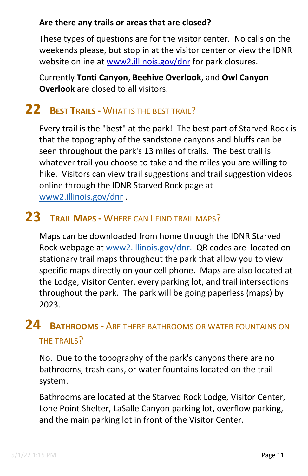#### **Are there any trails or areas that are closed?**

These types of questions are for the visitor center. No calls on the weekends please, but stop in at the visitor center or view the IDNR website online at [www2.illinois.gov/dnr](https://www2.illinois.gov/dnr) for park closures.

Currently **Tonti Canyon**, **Beehive Overlook**, and **Owl Canyon Overlook** are closed to all visitors.

# <span id="page-10-0"></span>**22 BEST TRAILS -** WHAT IS THE BEST TRAIL?

Every trail is the "best" at the park! The best part of Starved Rock is that the topography of the sandstone canyons and bluffs can be seen throughout the park's 13 miles of trails. The best trail is whatever trail you choose to take and the miles you are willing to hike. Visitors can view trail suggestions and trail suggestion videos online through the IDNR Starved Rock page at [www2.illinois.gov/dnr](https://www2.illinois.gov/dnr) .

# <span id="page-10-1"></span>**23 TRAIL MAPS -** WHERE CAN I FIND TRAIL MAPS?

Maps can be downloaded from home through the IDNR Starved Rock webpage at [www2.illinois.gov/dnr.](https://www2.illinois.gov/dnr) QR codes are located on stationary trail maps throughout the park that allow you to view specific maps directly on your cell phone. Maps are also located at the Lodge, Visitor Center, every parking lot, and trail intersections throughout the park. The park will be going paperless (maps) by 2023.

## <span id="page-10-2"></span>**24 BATHROOMS -** ARE THERE BATHROOMS OR WATER FOUNTAINS ON THE TRAILS?

No. Due to the topography of the park's canyons there are no bathrooms, trash cans, or water fountains located on the trail system.

Bathrooms are located at the Starved Rock Lodge, Visitor Center, Lone Point Shelter, LaSalle Canyon parking lot, overflow parking, and the main parking lot in front of the Visitor Center.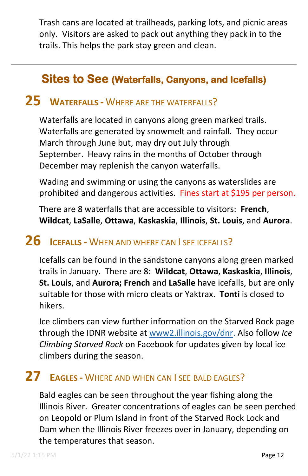Trash cans are located at trailheads, parking lots, and picnic areas only. Visitors are asked to pack out anything they pack in to the trails. This helps the park stay green and clean.

#### **Sites to See (Waterfalls, Canyons, and Icefalls)**

#### <span id="page-11-1"></span><span id="page-11-0"></span>**25 WATERFALLS -** WHERE ARE THE WATERFALLS?

Waterfalls are located in canyons along green marked trails. Waterfalls are generated by snowmelt and rainfall. They occur March through June but, may dry out July through September. Heavy rains in the months of October through December may replenish the canyon waterfalls.

Wading and swimming or using the canyons as waterslides are prohibited and dangerous activities. Fines start at \$195 per person.

There are 8 waterfalls that are accessible to visitors: **French**, **Wildcat**, **LaSalle**, **Ottawa**, **Kaskaskia**, **Illinois**, **St. Louis**, and **Aurora**.

#### <span id="page-11-2"></span>**26 ICEFALLS -** WHEN AND WHERE CAN I SEE ICEFALLS?

Icefalls can be found in the sandstone canyons along green marked trails in January. There are 8: **Wildcat**, **Ottawa**, **Kaskaskia**, **Illinois**, **St. Louis**, and **Aurora; French** and **LaSalle** have icefalls, but are only suitable for those with micro cleats or Yaktrax. **Tonti** is closed to hikers.

Ice climbers can view further information on the Starved Rock page through the IDNR website at [www2.illinois.gov/dnr.](https://www2.illinois.gov/dnr) Also follow *Ice Climbing Starved Rock* on Facebook for updates given by local ice climbers during the season.

## <span id="page-11-3"></span>**27 EAGLES -** WHERE AND WHEN CAN I SEE BALD EAGLES?

Bald eagles can be seen throughout the year fishing along the Illinois River. Greater concentrations of eagles can be seen perched on Leopold or Plum Island in front of the Starved Rock Lock and Dam when the Illinois River freezes over in January, depending on the temperatures that season.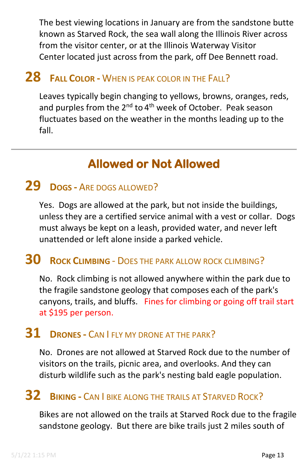The best viewing locations in January are from the sandstone butte known as Starved Rock, the sea wall along the Illinois River across from the visitor center, or at the Illinois Waterway Visitor Center located just across from the park, off Dee Bennett road.

# <span id="page-12-0"></span>**28 FALL COLOR -** WHEN IS PEAK COLOR IN THE FALL?

Leaves typically begin changing to yellows, browns, oranges, reds, and purples from the  $2^{nd}$  to  $4^{th}$  week of October. Peak season fluctuates based on the weather in the months leading up to the fall.

## **Allowed or Not Allowed**

#### <span id="page-12-2"></span><span id="page-12-1"></span>**29 DOGS -** ARE DOGS ALLOWED?

Yes. Dogs are allowed at the park, but not inside the buildings, unless they are a certified service animal with a vest or collar. Dogs must always be kept on a leash, provided water, and never left unattended or left alone inside a parked vehicle.

### <span id="page-12-3"></span>**30 ROCK CLIMBING** - DOES THE PARK ALLOW ROCK CLIMBING?

No. Rock climbing is not allowed anywhere within the park due to the fragile sandstone geology that composes each of the park's canyons, trails, and bluffs. Fines for climbing or going off trail start at \$195 per person.

#### <span id="page-12-4"></span>**31 DRONES -** CAN I FLY MY DRONE AT THE PARK?

No. Drones are not allowed at Starved Rock due to the number of visitors on the trails, picnic area, and overlooks. And they can disturb wildlife such as the park's nesting bald eagle population.

## <span id="page-12-5"></span>**32 BIKING -** CAN I BIKE ALONG THE TRAILS AT STARVED ROCK?

Bikes are not allowed on the trails at Starved Rock due to the fragile sandstone geology. But there are bike trails just 2 miles south of